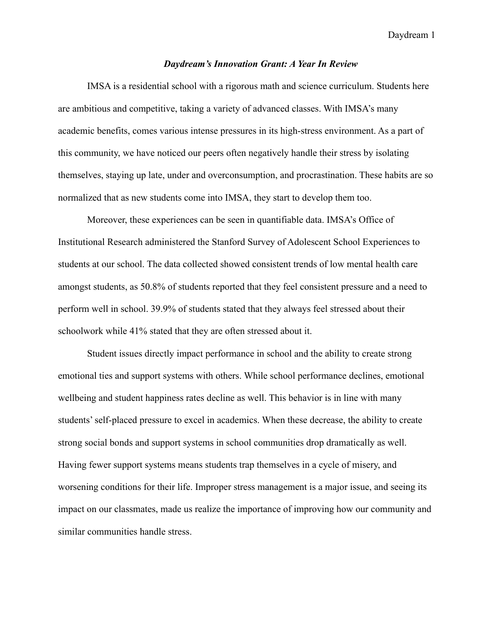## *Daydream's Innovation Grant: A Year In Review*

IMSA is a residential school with a rigorous math and science curriculum. Students here are ambitious and competitive, taking a variety of advanced classes. With IMSA's many academic benefits, comes various intense pressures in its high-stress environment. As a part of this community, we have noticed our peers often negatively handle their stress by isolating themselves, staying up late, under and overconsumption, and procrastination. These habits are so normalized that as new students come into IMSA, they start to develop them too.

Moreover, these experiences can be seen in quantifiable data. IMSA's Office of Institutional Research administered the Stanford Survey of Adolescent School Experiences to students at our school. The data collected showed consistent trends of low mental health care amongst students, as 50.8% of students reported that they feel consistent pressure and a need to perform well in school. 39.9% of students stated that they always feel stressed about their schoolwork while 41% stated that they are often stressed about it.

Student issues directly impact performance in school and the ability to create strong emotional ties and support systems with others. While school performance declines, emotional wellbeing and student happiness rates decline as well. This behavior is in line with many students' self-placed pressure to excel in academics. When these decrease, the ability to create strong social bonds and support systems in school communities drop dramatically as well. Having fewer support systems means students trap themselves in a cycle of misery, and worsening conditions for their life. Improper stress management is a major issue, and seeing its impact on our classmates, made us realize the importance of improving how our community and similar communities handle stress.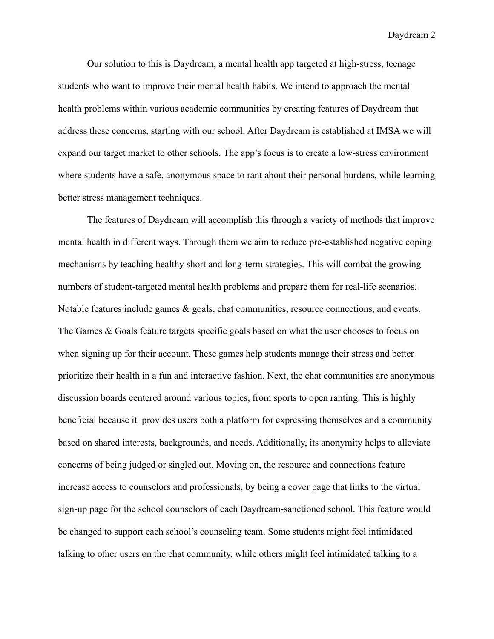Our solution to this is Daydream, a mental health app targeted at high-stress, teenage students who want to improve their mental health habits. We intend to approach the mental health problems within various academic communities by creating features of Daydream that address these concerns, starting with our school. After Daydream is established at IMSA we will expand our target market to other schools. The app's focus is to create a low-stress environment where students have a safe, anonymous space to rant about their personal burdens, while learning better stress management techniques.

The features of Daydream will accomplish this through a variety of methods that improve mental health in different ways. Through them we aim to reduce pre-established negative coping mechanisms by teaching healthy short and long-term strategies. This will combat the growing numbers of student-targeted mental health problems and prepare them for real-life scenarios. Notable features include games & goals, chat communities, resource connections, and events. The Games & Goals feature targets specific goals based on what the user chooses to focus on when signing up for their account. These games help students manage their stress and better prioritize their health in a fun and interactive fashion. Next, the chat communities are anonymous discussion boards centered around various topics, from sports to open ranting. This is highly beneficial because it provides users both a platform for expressing themselves and a community based on shared interests, backgrounds, and needs. Additionally, its anonymity helps to alleviate concerns of being judged or singled out. Moving on, the resource and connections feature increase access to counselors and professionals, by being a cover page that links to the virtual sign-up page for the school counselors of each Daydream-sanctioned school. This feature would be changed to support each school's counseling team. Some students might feel intimidated talking to other users on the chat community, while others might feel intimidated talking to a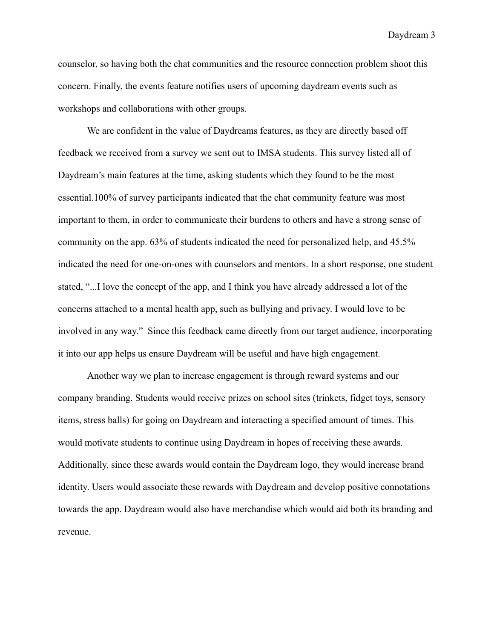counselor, so having both the chat communities and the resource connection problem shoot this concern. Finally, the events feature notifies users of upcoming daydream events such as workshops and collaborations with other groups.

We are confident in the value of Daydreams features, as they are directly based off feedback we received from a survey we sent out to IMSA students. This survey listed all of Daydream's main features at the time, asking students which they found to be the most essential.100% of survey participants indicated that the chat community feature was most important to them, in order to communicate their burdens to others and have a strong sense of community on the app. 63% of students indicated the need for personalized help, and 45.5% indicated the need for one-on-ones with counselors and mentors. In a short response, one student stated, "...I love the concept of the app, and I think you have already addressed a lot of the concerns attached to a mental health app, such as bullying and privacy. I would love to be involved in any way." Since this feedback came directly from our target audience, incorporating it into our app helps us ensure Daydream will be useful and have high engagement.

Another way we plan to increase engagement is through reward systems and our company branding. Students would receive prizes on school sites (trinkets, fidget toys, sensory items, stress balls) for going on Daydream and interacting a specified amount of times. This would motivate students to continue using Daydream in hopes of receiving these awards. Additionally, since these awards would contain the Daydream logo, they would increase brand identity. Users would associate these rewards with Daydream and develop positive connotations towards the app. Daydream would also have merchandise which would aid both its branding and revenue.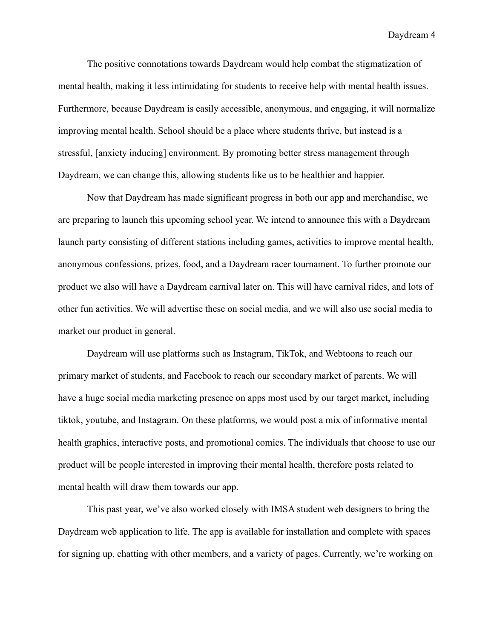The positive connotations towards Daydream would help combat the stigmatization of mental health, making it less intimidating for students to receive help with mental health issues. Furthermore, because Daydream is easily accessible, anonymous, and engaging, it will normalize improving mental health. School should be a place where students thrive, but instead is a stressful, [anxiety inducing] environment. By promoting better stress management through Daydream, we can change this, allowing students like us to be healthier and happier.

Now that Daydream has made significant progress in both our app and merchandise, we are preparing to launch this upcoming school year. We intend to announce this with a Daydream launch party consisting of different stations including games, activities to improve mental health, anonymous confessions, prizes, food, and a Daydream racer tournament. To further promote our product we also will have a Daydream carnival later on. This will have carnival rides, and lots of other fun activities. We will advertise these on social media, and we will also use social media to market our product in general.

Daydream will use platforms such as Instagram, TikTok, and Webtoons to reach our primary market of students, and Facebook to reach our secondary market of parents. We will have a huge social media marketing presence on apps most used by our target market, including tiktok, youtube, and Instagram. On these platforms, we would post a mix of informative mental health graphics, interactive posts, and promotional comics. The individuals that choose to use our product will be people interested in improving their mental health, therefore posts related to mental health will draw them towards our app.

This past year, we've also worked closely with IMSA student web designers to bring the Daydream web application to life. The app is available for installation and complete with spaces for signing up, chatting with other members, and a variety of pages. Currently, we're working on